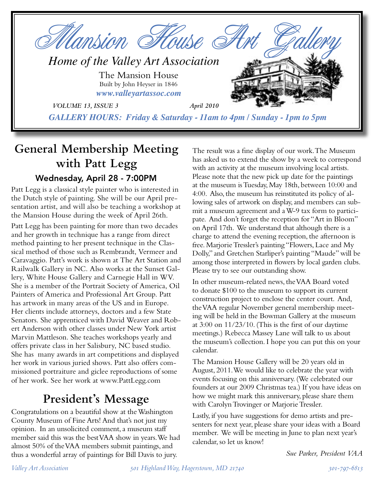

## **General Membership Meeting with Patt Legg** Wednesday, April 28 - 7:00PM

Patt Legg is a classical style painter who is interested in the Dutch style of painting. She will be our April presentation artist, and will also be teaching a workshop at the Mansion House during the week of April 26th.

Patt Legg has been painting for more than two decades and her growth in technique has a range from direct method painting to her present technique in the Classical method of those such as Rembrandt, Vermeer and Caravaggio. Patt's work is shown at The Art Station and Railwalk Gallery in NC. Also works at the Sunset Gallery, White House Gallery and Carnegie Hall in WV. She is a member of the Portrait Society of America, Oil Painters of America and Professional Art Group. Patt has artwork in many areas of the US and in Europe. Her clients include attorneys, doctors and a few State Senators. She apprenticed with David Weaver and Robert Anderson with other classes under New York artist Marvin Mattleson. She teaches workshops yearly and offers private class in her Salisbury, NC based studio. She has many awards in art competitions and displayed her work in various juried shows. Patt also offers commissioned portraiture and giclee reproductions of some of her work. See her work at www.PattLegg.com

## **President's Message**

Congratulations on a beautiful show at the Washington County Museum of Fine Arts! And that's not just my opinion. In an unsolicited comment, a museum staff member said this was the best VAA show in years. We had almost 50% of the VAA members submit paintings, and thus a wonderful array of paintings for Bill Davis to jury.

The result was a fine display of our work. The Museum has asked us to extend the show by a week to correspond with an activity at the museum involving local artists. Please note that the new pick up date for the paintings at the museum is Tuesday, May 18th, between 10:00 and 4:00. Also, the museum has reinstituted its policy of allowing sales of artwork on display, and members can submit a museum agreement and a W-9 tax form to participate. And don't forget the reception for "Art in Bloom" on April 17th. We understand that although there is a charge to attend the evening reception, the afternoon is free. Marjorie Tressler's painting "Flowers, Lace and My Dolly," and Gretchen Starliper's painting "Maude" will be among those interpreted in flowers by local garden clubs. Please try to see our outstanding show.

In other museum-related news, the VAA Board voted to donate \$100 to the museum to support its current construction project to enclose the center court. And, the VAA regular November general membership meeting will be held in the Bowman Gallery at the museum at 3:00 on 11/23/10. (This is the first of our daytime meetings.) Rebecca Massey Lane will talk to us about the museum's collection. I hope you can put this on your calendar.

The Mansion House Gallery will be 20 years old in August, 2011. We would like to celebrate the year with events focusing on this anniversary. (We celebrated our founders at our 2009 Christmas tea.) If you have ideas on how we might mark this anniversary, please share them with Carolyn Trovinger or Marjorie Tressler.

Lastly, if you have suggestions for demo artists and presenters for next year, please share your ideas with a Board member. We will be meeting in June to plan next year's calendar, so let us know!

*Sue Parker, President VAA*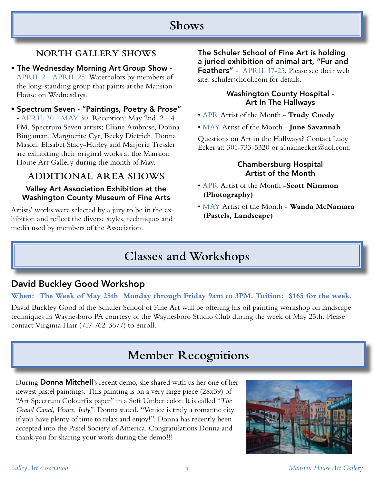### **Shows**

### **NORTH GALLERY SHOWS**

- The Wednesday Morning Art Group Show APRIL 2 - APRIL 25. Watercolors by members of the long-standing group that paints at the Mansion House on Wednesdays.
- Spectrum Seven "Paintings, Poetry & Prose" - APRIL 30 - MAY 30. Reception: May 2nd 2 - 4 PM. Spectrum Seven artists; Eliane Ambrose, Donna Bingaman, Marguerite Cyr, Becky Dietrich, Donna Mason, Elisabet Stacy-Hurley and Marjorie Tressler are exhibiting their original works at the Mansion House Art Gallery during the month of May.

### **ADDITIONAL AREA SHOWS**

#### Valley Art Association Exhibition at the Washington County Museum of Fine Arts

Artists' works were selected by a jury to be in the exhibition and reflect the diverse styles, techniques and media used by members of the Association.

The Schuler School of Fine Art is holding a juried exhibition of animal art, "Fur and Feathers" - APRIL 17-25. Please see their web

site: schulerschool.com for details.

#### Washington County Hospital - Art In The Hallways

- APR Artist of the Month **Trudy Coody**
- MAY Artist of the Month **June Savannah**

Questions on Art in the Hallways? Contact Lucy Ecker at: 301-733-5320 or a1nanaecker@aol.com.

#### Chambersburg Hospital Artist of the Month

- APR Artist of the Month -**Scott Nimmon (Photography)**
- MAY Artist of the Month **Wanda McNamara (Pastels, Landscape)**

# **Classes and Workshops**

### David Buckley Good Workshop

#### **When: The Week of May 25th Monday through Friday 9am to 3PM. Tuition: \$165 for the week.**

David Buckley Good of the Schuler School of Fine Art will be offering his oil painting workshop on landscape techniques in Waynesboro PA courtesy of the Waynesboro Studio Club during the week of May 25th. Please contact Virginia Hair (717-762-3677) to enroll.

## **Member Recognitions**

During **Donna Mitchell'**s recent demo, she shared with us her one of her newest pastel paintings. This painting is on a very large piece (28x39) of "Art Spectrum Colourfix paper" in a Soft Umber color. It is called "*The Grand Canal, Venice, Italy*". Donna stated, "Venice is truly a romantic city if you have plenty of time to relax and enjoy!". Donna has recently been accepted into the Pastel Society of America. Congratulations Donna and thank you for sharing your work during the demo!!!

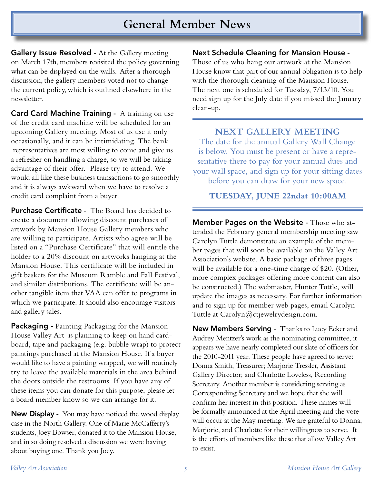### **General Member News**

Gallery Issue Resolved - At the Gallery meeting on March 17th, members revisited the policy governing what can be displayed on the walls. After a thorough discussion, the gallery members voted not to change the current policy, which is outlined elsewhere in the newsletter.

**Card Card Machine Training -** A training on use of the credit card machine will be scheduled for an upcoming Gallery meeting. Most of us use it only occasionally, and it can be intimidating. The bank representatives are most willing to come and give us a refresher on handling a charge, so we will be taking advantage of their offer. Please try to attend. We would all like these business transactions to go smoothly and it is always awkward when we have to resolve a credit card complaint from a buyer.

**Purchase Certificate -** The Board has decided to create a document allowing discount purchases of artwork by Mansion House Gallery members who are willing to participate. Artists who agree will be listed on a "Purchase Certificate" that will entitle the holder to a 20% discount on artworks hanging at the Mansion House. This certificate will be included in gift baskets for the Museum Ramble and Fall Festival, and similar distributions. The certificate will be another tangible item that VAA can offer to programs in which we participate. It should also encourage visitors and gallery sales.

**Packaging -** Painting Packaging for the Mansion House Valley Art is planning to keep on hand cardboard, tape and packaging (e.g. bubble wrap) to protect paintings purchased at the Mansion House. If a buyer would like to have a painting wrapped, we will routinely try to leave the available materials in the area behind the doors outside the restrooms If you have any of these items you can donate for this purpose, please let a board member know so we can arrange for it.

**New Display -** You may have noticed the wood display case in the North Gallery. One of Marie McCafferty's students, Joey Bowser, donated it to the Mansion House, and in so doing resolved a discussion we were having about buying one. Thank you Joey.

Next Schedule Cleaning for Mansion House -

Those of us who hang our artwork at the Mansion House know that part of our annual obligation is to help with the thorough cleaning of the Mansion House. The next one is scheduled for Tuesday, 7/13/10. You need sign up for the July date if you missed the January clean-up.

**NEXT GALLERY MEETING** The date for the annual Gallery Wall Change is below. You must be present or have a representative there to pay for your annual dues and your wall space, and sign up for your sitting dates before you can draw for your new space.

#### **TUESDAY, JUNE 22ndat 10:00AM**

Member Pages on the Website - Those who attended the February general membership meeting saw Carolyn Tuttle demonstrate an example of the member pages that will soon be available on the Valley Art Association's website. A basic package of three pages will be available for a one-time charge of \$20. (Other, more complex packages offering more content can also be constructed.) The webmaster, Hunter Tuttle, will update the images as necessary. For further information and to sign up for member web pages, email Carolyn Tuttle at Carolyn@ctjewelrydesign.com.

New Members Serving - Thanks to Lucy Ecker and Audrey Mentzer's work as the nominating committee, it appears we have nearly completed our slate of officers for the 2010-2011 year. These people have agreed to serve: Donna Smith, Treasurer; Marjorie Tressler, Assistant Gallery Director; and Charlotte Loveless, Recording Secretary. Another member is considering serving as Corresponding Secretary and we hope that she will confirm her interest in this position. These names will be formally announced at the April meeting and the vote will occur at the May meeting. We are grateful to Donna, Marjorie, and Charlotte for their willingness to serve. It is the efforts of members like these that allow Valley Art to exist.